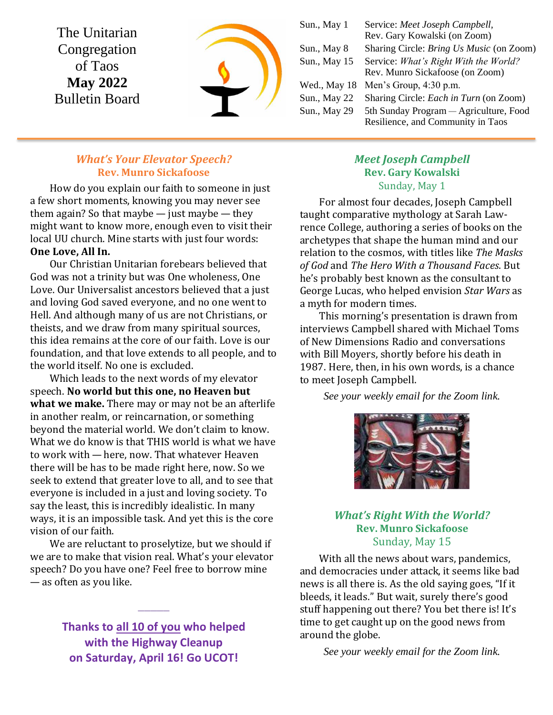The Unitarian Congregation of Taos **May 2022** Bulletin Board



Sun., May 1 Service: *Meet Joseph Campbell,* Rev. Gary Kowalski (on Zoom) Sun., May 8 Sharing Circle: *Bring Us Music* (on Zoom) Sun., May 15 Service: *What's Right With the World?* Rev. Munro Sickafoose (on Zoom) Wed., May 18 Men's Group, 4:30 p.m. Sun., May 22 Sharing Circle: *Each in Turn* (on Zoom) Sun., May 29 5th Sunday Program — Agriculture, Food Resilience, and Community in Taos

## *What's Your Elevator Speech?* **Rev. Munro Sickafoose**

How do you explain our faith to someone in just a few short moments, knowing you may never see them again? So that maybe  $-$  just maybe  $-$  they might want to know more, enough even to visit their local UU church. Mine starts with just four words: **One Love, All In.**

Our Christian Unitarian forebears believed that God was not a trinity but was One wholeness, One Love. Our Universalist ancestors believed that a just and loving God saved everyone, and no one went to Hell. And although many of us are not Christians, or theists, and we draw from many spiritual sources, this idea remains at the core of our faith. Love is our foundation, and that love extends to all people, and to the world itself. No one is excluded.

Which leads to the next words of my elevator speech. **No world but this one, no Heaven but what we make.** There may or may not be an afterlife in another realm, or reincarnation, or something beyond the material world. We don't claim to know. What we do know is that THIS world is what we have to work with — here, now. That whatever Heaven there will be has to be made right here, now. So we seek to extend that greater love to all, and to see that everyone is included in a just and loving society. To say the least, this is incredibly idealistic. In many ways, it is an impossible task. And yet this is the core vision of our faith.

We are reluctant to proselytize, but we should if we are to make that vision real. What's your elevator speech? Do you have one? Feel free to borrow mine — as often as you like.

> **Thanks to all 10 of you who helped with the Highway Cleanup on Saturday, April 16! Go UCOT!**

**\_\_\_\_\_**

## *Meet Joseph Campbell* **Rev. Gary Kowalski** Sunday, May 1

For almost four decades, Joseph Campbell taught comparative mythology at Sarah Lawrence College, authoring a series of books on the archetypes that shape the human mind and our relation to the cosmos, with titles like *The Masks of God* and *The Hero With a Thousand Faces*. But he's probably best known as the consultant to George Lucas, who helped envision *Star Wars* as a myth for modern times.

This morning's presentation is drawn from interviews Campbell shared with Michael Toms of New Dimensions Radio and conversations with Bill Moyers, shortly before his death in 1987. Here, then, in his own words, is a chance to meet Joseph Campbell.

*See your weekly email for the Zoom link.*



## *What's Right With the World?* **Rev. Munro Sickafoose** Sunday, May 15

With all the news about wars, pandemics, and democracies under attack, it seems like bad news is all there is. As the old saying goes, "If it bleeds, it leads." But wait, surely there's good stuff happening out there? You bet there is! It's time to get caught up on the good news from around the globe.

*See your weekly email for the Zoom link.*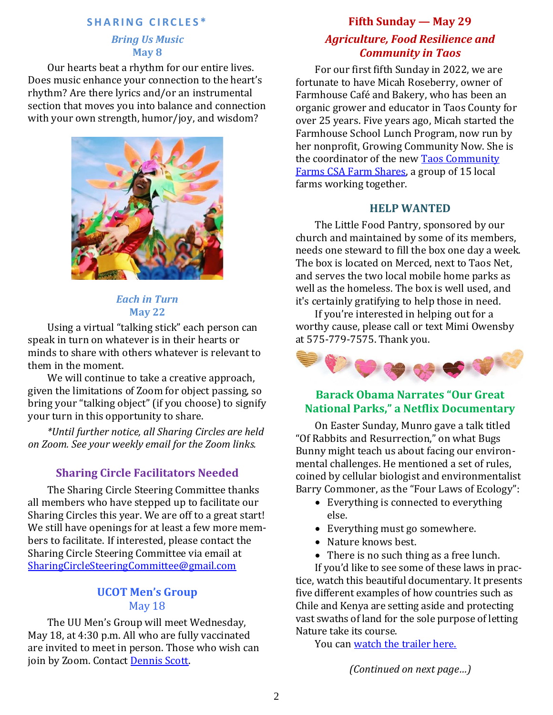### **S H A R I N G C I R C L E S \***

#### *Bring Us Music* **May 8**

Our hearts beat a rhythm for our entire lives. Does music enhance your connection to the heart's rhythm? Are there lyrics and/or an instrumental section that moves you into balance and connection with your own strength, humor/joy, and wisdom?



### *Each in Turn* **May 22**

Using a virtual "talking stick" each person can speak in turn on whatever is in their hearts or minds to share with others whatever is relevant to them in the moment.

We will continue to take a creative approach, given the limitations of Zoom for object passing, so bring your "talking object" (if you choose) to signify your turn in this opportunity to share.

*\*Until further notice, all Sharing Circles are held on Zoom. See your weekly email for the Zoom links.*

# **Sharing Circle Facilitators Needed**

The Sharing Circle Steering Committee thanks all members who have stepped up to facilitate our Sharing Circles this year. We are off to a great start! We still have openings for at least a few more members to facilitate. If interested, please contact the Sharing Circle Steering Committee via email at [SharingCircleSteeringCommittee@gmail.com](mailto:SharingCircleSteeringCommittee@gmail.com)

# **UCOT Men's Group** May 18

The UU Men's Group will meet Wednesday, May 18, at 4:30 p.m. All who are fully vaccinated are invited to meet in person. Those who wish can join by Zoom. Contact [Dennis Scott.](mailto:bridge4fun@mac.com)

#### **Fifth Sunday — May 29**

# *Agriculture, Food Resilience and Community in Taos*

For our first fifth Sunday in 2022, we are fortunate to have Micah Roseberry, owner of Farmhouse Café and Bakery, who has been an organic grower and educator in Taos County for over 25 years. Five years ago, Micah started the Farmhouse School Lunch Program, now run by her nonprofit, Growing Community Now. She is the coordinator of the new [Taos Community](https://growingcommunitynow.org/about-us)  Farms [CSA Farm Shares,](https://growingcommunitynow.org/about-us) a group of 15 local farms working together.

#### **HELP WANTED**

The Little Food Pantry, sponsored by our church and maintained by some of its members, needs one steward to fill the box one day a week. The box is located on Merced, next to Taos Net, and serves the two local mobile home parks as well as the homeless. The box is well used, and it's certainly gratifying to help those in need.

If you're interested in helping out for a worthy cause, please call or text Mimi Owensby at 575-779-7575. Thank you.



# **Barack Obama Narrates "Our Great National Parks," a Netflix Documentary**

On Easter Sunday, Munro gave a talk titled "Of Rabbits and Resurrection," on what Bugs Bunny might teach us about facing our environmental challenges. He mentioned a set of rules, coined by cellular biologist and environmentalist Barry Commoner, as the "Four Laws of Ecology":

- Everything is connected to everything else.
- Everything must go somewhere.
- Nature knows best.
- There is no such thing as a free lunch.

If you'd like to see some of these laws in practice, watch this beautiful documentary. It presents five different examples of how countries such as Chile and Kenya are setting aside and protecting vast swaths of land for the sole purpose of letting Nature take its course.

You can [watch the trailer here.](https://www.youtube.com/watch?v=KcI_xfryMD0)

*(Continued on next page…)*